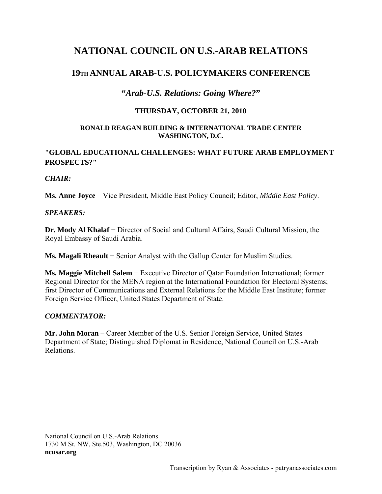# **NATIONAL COUNCIL ON U.S.-ARAB RELATIONS**

## **19TH ANNUAL ARAB-U.S. POLICYMAKERS CONFERENCE**

### **"***Arab-U.S. Relations: Going Where?***"**

#### **THURSDAY, OCTOBER 21, 2010**

#### **RONALD REAGAN BUILDING & INTERNATIONAL TRADE CENTER WASHINGTON, D.C.**

### **"GLOBAL EDUCATIONAL CHALLENGES: WHAT FUTURE ARAB EMPLOYMENT PROSPECTS?"**

#### *CHAIR:*

**Ms. Anne Joyce** – Vice President, Middle East Policy Council; Editor, *Middle East Policy*.

### *SPEAKERS:*

**Dr. Mody Al Khalaf** − Director of Social and Cultural Affairs, Saudi Cultural Mission, the Royal Embassy of Saudi Arabia.

**Ms. Magali Rheault** − Senior Analyst with the Gallup Center for Muslim Studies.

**Ms. Maggie Mitchell Salem** − Executive Director of Qatar Foundation International; former Regional Director for the MENA region at the International Foundation for Electoral Systems; first Director of Communications and External Relations for the Middle East Institute; former Foreign Service Officer, United States Department of State.

#### *COMMENTATOR:*

**Mr. John Moran** – Career Member of the U.S. Senior Foreign Service, United States Department of State; Distinguished Diplomat in Residence, National Council on U.S.-Arab Relations.

National Council on U.S.-Arab Relations 1730 M St. NW, Ste.503, Washington, DC 20036 **ncusar.org**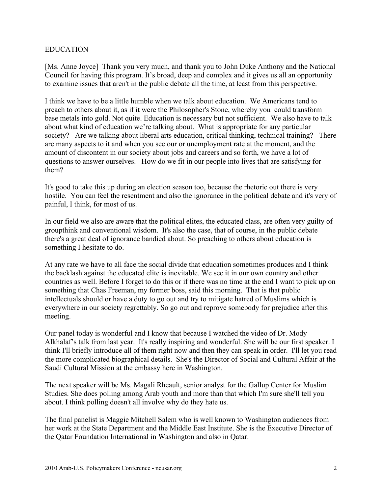#### EDUCATION

[Ms. Anne Joyce] Thank you very much, and thank you to John Duke Anthony and the National Council for having this program. It's broad, deep and complex and it gives us all an opportunity to examine issues that aren't in the public debate all the time, at least from this perspective.

I think we have to be a little humble when we talk about education. We Americans tend to preach to others about it, as if it were the Philosopher's Stone, whereby you could transform base metals into gold. Not quite. Education is necessary but not sufficient. We also have to talk about what kind of education we're talking about. What is appropriate for any particular society? Are we talking about liberal arts education, critical thinking, technical training? There are many aspects to it and when you see our or unemployment rate at the moment, and the amount of discontent in our society about jobs and careers and so forth, we have a lot of questions to answer ourselves. How do we fit in our people into lives that are satisfying for them?

It's good to take this up during an election season too, because the rhetoric out there is very hostile. You can feel the resentment and also the ignorance in the political debate and it's very of painful, I think, for most of us.

In our field we also are aware that the political elites, the educated class, are often very guilty of groupthink and conventional wisdom. It's also the case, that of course, in the public debate there's a great deal of ignorance bandied about. So preaching to others about education is something I hesitate to do.

At any rate we have to all face the social divide that education sometimes produces and I think the backlash against the educated elite is inevitable. We see it in our own country and other countries as well. Before I forget to do this or if there was no time at the end I want to pick up on something that Chas Freeman, my former boss, said this morning. That is that public intellectuals should or have a duty to go out and try to mitigate hatred of Muslims which is everywhere in our society regrettably. So go out and reprove somebody for prejudice after this meeting.

Our panel today is wonderful and I know that because I watched the video of Dr. Mody Alkhalaf's talk from last year. It's really inspiring and wonderful. She will be our first speaker. I think I'll briefly introduce all of them right now and then they can speak in order. I'll let you read the more complicated biographical details. She's the Director of Social and Cultural Affair at the Saudi Cultural Mission at the embassy here in Washington.

The next speaker will be Ms. Magali Rheault, senior analyst for the Gallup Center for Muslim Studies. She does polling among Arab youth and more than that which I'm sure she'll tell you about. I think polling doesn't all involve why do they hate us.

The final panelist is Maggie Mitchell Salem who is well known to Washington audiences from her work at the State Department and the Middle East Institute. She is the Executive Director of the Qatar Foundation International in Washington and also in Qatar.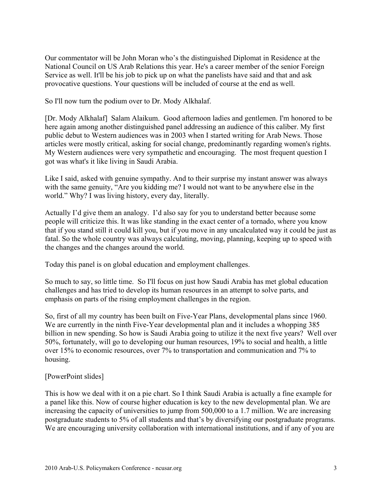Our commentator will be John Moran who's the distinguished Diplomat in Residence at the National Council on US Arab Relations this year. He's a career member of the senior Foreign Service as well. It'll be his job to pick up on what the panelists have said and that and ask provocative questions. Your questions will be included of course at the end as well.

So I'll now turn the podium over to Dr. Mody Alkhalaf.

[Dr. Mody Alkhalaf] Salam Alaikum. Good afternoon ladies and gentlemen. I'm honored to be here again among another distinguished panel addressing an audience of this caliber. My first public debut to Western audiences was in 2003 when I started writing for Arab News. Those articles were mostly critical, asking for social change, predominantly regarding women's rights. My Western audiences were very sympathetic and encouraging. The most frequent question I got was what's it like living in Saudi Arabia.

Like I said, asked with genuine sympathy. And to their surprise my instant answer was always with the same genuity, "Are you kidding me? I would not want to be anywhere else in the world." Why? I was living history, every day, literally.

Actually I'd give them an analogy. I'd also say for you to understand better because some people will criticize this. It was like standing in the exact center of a tornado, where you know that if you stand still it could kill you, but if you move in any uncalculated way it could be just as fatal. So the whole country was always calculating, moving, planning, keeping up to speed with the changes and the changes around the world.

Today this panel is on global education and employment challenges.

So much to say, so little time. So I'll focus on just how Saudi Arabia has met global education challenges and has tried to develop its human resources in an attempt to solve parts, and emphasis on parts of the rising employment challenges in the region.

So, first of all my country has been built on Five-Year Plans, developmental plans since 1960. We are currently in the ninth Five-Year developmental plan and it includes a whopping 385 billion in new spending. So how is Saudi Arabia going to utilize it the next five years? Well over 50%, fortunately, will go to developing our human resources, 19% to social and health, a little over 15% to economic resources, over 7% to transportation and communication and 7% to housing.

#### [PowerPoint slides]

This is how we deal with it on a pie chart. So I think Saudi Arabia is actually a fine example for a panel like this. Now of course higher education is key to the new developmental plan. We are increasing the capacity of universities to jump from 500,000 to a 1.7 million. We are increasing postgraduate students to 5% of all students and that's by diversifying our postgraduate programs. We are encouraging university collaboration with international institutions, and if any of you are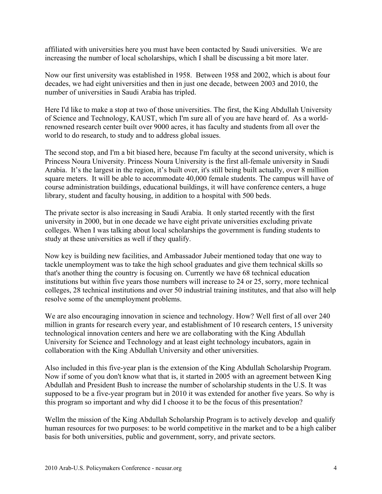affiliated with universities here you must have been contacted by Saudi universities. We are increasing the number of local scholarships, which I shall be discussing a bit more later.

Now our first university was established in 1958. Between 1958 and 2002, which is about four decades, we had eight universities and then in just one decade, between 2003 and 2010, the number of universities in Saudi Arabia has tripled.

Here I'd like to make a stop at two of those universities. The first, the King Abdullah University of Science and Technology, KAUST, which I'm sure all of you are have heard of. As a worldrenowned research center built over 9000 acres, it has faculty and students from all over the world to do research, to study and to address global issues.

The second stop, and I'm a bit biased here, because I'm faculty at the second university, which is Princess Noura University. Princess Noura University is the first all-female university in Saudi Arabia. It's the largest in the region, it's built over, it's still being built actually, over 8 million square meters. It will be able to accommodate 40,000 female students. The campus will have of course administration buildings, educational buildings, it will have conference centers, a huge library, student and faculty housing, in addition to a hospital with 500 beds.

The private sector is also increasing in Saudi Arabia. It only started recently with the first university in 2000, but in one decade we have eight private universities excluding private colleges. When I was talking about local scholarships the government is funding students to study at these universities as well if they qualify.

Now key is building new facilities, and Ambassador Jubeir mentioned today that one way to tackle unemployment was to take the high school graduates and give them technical skills so that's another thing the country is focusing on. Currently we have 68 technical education institutions but within five years those numbers will increase to 24 or 25, sorry, more technical colleges, 28 technical institutions and over 50 industrial training institutes, and that also will help resolve some of the unemployment problems.

We are also encouraging innovation in science and technology. How? Well first of all over 240 million in grants for research every year, and establishment of 10 research centers, 15 university technological innovation centers and here we are collaborating with the King Abdullah University for Science and Technology and at least eight technology incubators, again in collaboration with the King Abdullah University and other universities.

Also included in this five-year plan is the extension of the King Abdullah Scholarship Program. Now if some of you don't know what that is, it started in 2005 with an agreement between King Abdullah and President Bush to increase the number of scholarship students in the U.S. It was supposed to be a five-year program but in 2010 it was extended for another five years. So why is this program so important and why did I choose it to be the focus of this presentation?

Wellm the mission of the King Abdullah Scholarship Program is to actively develop and qualify human resources for two purposes: to be world competitive in the market and to be a high caliber basis for both universities, public and government, sorry, and private sectors.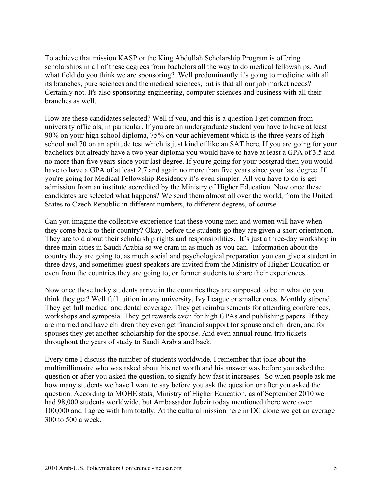To achieve that mission KASP or the King Abdullah Scholarship Program is offering scholarships in all of these degrees from bachelors all the way to do medical fellowships. And what field do you think we are sponsoring? Well predominantly it's going to medicine with all its branches, pure sciences and the medical sciences, but is that all our job market needs? Certainly not. It's also sponsoring engineering, computer sciences and business with all their branches as well.

How are these candidates selected? Well if you, and this is a question I get common from university officials, in particular. If you are an undergraduate student you have to have at least 90% on your high school diploma, 75% on your achievement which is the three years of high school and 70 on an aptitude test which is just kind of like an SAT here. If you are going for your bachelors but already have a two year diploma you would have to have at least a GPA of 3.5 and no more than five years since your last degree. If you're going for your postgrad then you would have to have a GPA of at least 2.7 and again no more than five years since your last degree. If you're going for Medical Fellowship Residency it's even simpler. All you have to do is get admission from an institute accredited by the Ministry of Higher Education. Now once these candidates are selected what happens? We send them almost all over the world, from the United States to Czech Republic in different numbers, to different degrees, of course.

Can you imagine the collective experience that these young men and women will have when they come back to their country? Okay, before the students go they are given a short orientation. They are told about their scholarship rights and responsibilities. It's just a three-day workshop in three main cities in Saudi Arabia so we cram in as much as you can. Information about the country they are going to, as much social and psychological preparation you can give a student in three days, and sometimes guest speakers are invited from the Ministry of Higher Education or even from the countries they are going to, or former students to share their experiences.

Now once these lucky students arrive in the countries they are supposed to be in what do you think they get? Well full tuition in any university, Ivy League or smaller ones. Monthly stipend. They get full medical and dental coverage. They get reimbursements for attending conferences, workshops and symposia. They get rewards even for high GPAs and publishing papers. If they are married and have children they even get financial support for spouse and children, and for spouses they get another scholarship for the spouse. And even annual round-trip tickets throughout the years of study to Saudi Arabia and back.

Every time I discuss the number of students worldwide, I remember that joke about the multimillionaire who was asked about his net worth and his answer was before you asked the question or after you asked the question, to signify how fast it increases. So when people ask me how many students we have I want to say before you ask the question or after you asked the question. According to MOHE stats, Ministry of Higher Education, as of September 2010 we had 98,000 students worldwide, but Ambassador Jubeir today mentioned there were over 100,000 and I agree with him totally. At the cultural mission here in DC alone we get an average 300 to 500 a week.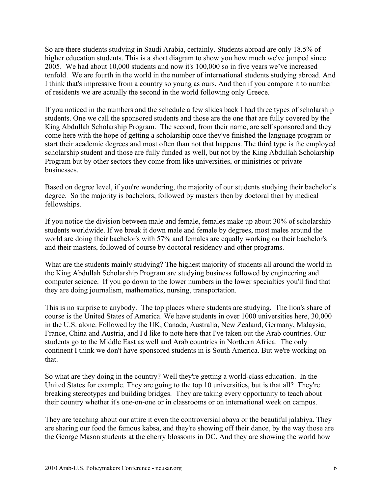So are there students studying in Saudi Arabia, certainly. Students abroad are only 18.5% of higher education students. This is a short diagram to show you how much we've jumped since 2005. We had about 10,000 students and now it's 100,000 so in five years we've increased tenfold. We are fourth in the world in the number of international students studying abroad. And I think that's impressive from a country so young as ours. And then if you compare it to number of residents we are actually the second in the world following only Greece.

If you noticed in the numbers and the schedule a few slides back I had three types of scholarship students. One we call the sponsored students and those are the one that are fully covered by the King Abdullah Scholarship Program. The second, from their name, are self sponsored and they come here with the hope of getting a scholarship once they've finished the language program or start their academic degrees and most often than not that happens. The third type is the employed scholarship student and those are fully funded as well, but not by the King Abdullah Scholarship Program but by other sectors they come from like universities, or ministries or private businesses.

Based on degree level, if you're wondering, the majority of our students studying their bachelor's degree. So the majority is bachelors, followed by masters then by doctoral then by medical fellowships.

If you notice the division between male and female, females make up about 30% of scholarship students worldwide. If we break it down male and female by degrees, most males around the world are doing their bachelor's with 57% and females are equally working on their bachelor's and their masters, followed of course by doctoral residency and other programs.

What are the students mainly studying? The highest majority of students all around the world in the King Abdullah Scholarship Program are studying business followed by engineering and computer science. If you go down to the lower numbers in the lower specialties you'll find that they are doing journalism, mathematics, nursing, transportation.

This is no surprise to anybody. The top places where students are studying. The lion's share of course is the United States of America. We have students in over 1000 universities here, 30,000 in the U.S. alone. Followed by the UK, Canada, Australia, New Zealand, Germany, Malaysia, France, China and Austria, and I'd like to note here that I've taken out the Arab countries. Our students go to the Middle East as well and Arab countries in Northern Africa. The only continent I think we don't have sponsored students in is South America. But we're working on that.

So what are they doing in the country? Well they're getting a world-class education. In the United States for example. They are going to the top 10 universities, but is that all? They're breaking stereotypes and building bridges. They are taking every opportunity to teach about their country whether it's one-on-one or in classrooms or on international week on campus.

They are teaching about our attire it even the controversial abaya or the beautiful jalabiya. They are sharing our food the famous kabsa, and they're showing off their dance, by the way those are the George Mason students at the cherry blossoms in DC. And they are showing the world how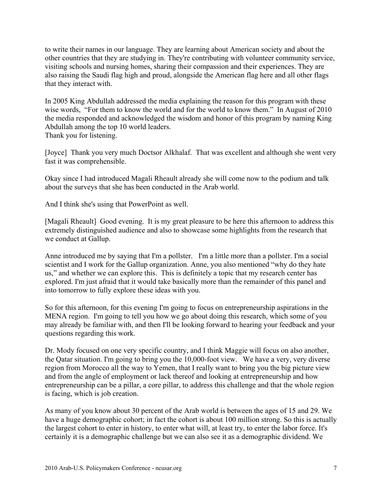to write their names in our language. They are learning about American society and about the other countries that they are studying in. They're contributing with volunteer community service, visiting schools and nursing homes, sharing their compassion and their experiences. They are also raising the Saudi flag high and proud, alongside the American flag here and all other flags that they interact with.

In 2005 King Abdullah addressed the media explaining the reason for this program with these wise words, "For them to know the world and for the world to know them." In August of 2010 the media responded and acknowledged the wisdom and honor of this program by naming King Abdullah among the top 10 world leaders. Thank you for listening.

[Joyce] Thank you very much Doctsor Alkhalaf. That was excellent and although she went very fast it was comprehensible.

Okay since I had introduced Magali Rheault already she will come now to the podium and talk about the surveys that she has been conducted in the Arab world.

And I think she's using that PowerPoint as well.

[Magali Rheault] Good evening. It is my great pleasure to be here this afternoon to address this extremely distinguished audience and also to showcase some highlights from the research that we conduct at Gallup.

Anne introduced me by saying that I'm a pollster. I'm a little more than a pollster. I'm a social scientist and I work for the Gallup organization. Anne, you also mentioned "why do they hate us," and whether we can explore this. This is definitely a topic that my research center has explored. I'm just afraid that it would take basically more than the remainder of this panel and into tomorrow to fully explore these ideas with you.

So for this afternoon, for this evening I'm going to focus on entrepreneurship aspirations in the MENA region. I'm going to tell you how we go about doing this research, which some of you may already be familiar with, and then I'll be looking forward to hearing your feedback and your questions regarding this work.

Dr. Mody focused on one very specific country, and I think Maggie will focus on also another, the Qatar situation. I'm going to bring you the 10,000-foot view. We have a very, very diverse region from Morocco all the way to Yemen, that I really want to bring you the big picture view and from the angle of employment or lack thereof and looking at entrepreneurship and how entrepreneurship can be a pillar, a core pillar, to address this challenge and that the whole region is facing, which is job creation.

As many of you know about 30 percent of the Arab world is between the ages of 15 and 29. We have a huge demographic cohort; in fact the cohort is about 100 million strong. So this is actually the largest cohort to enter in history, to enter what will, at least try, to enter the labor force. It's certainly it is a demographic challenge but we can also see it as a demographic dividend. We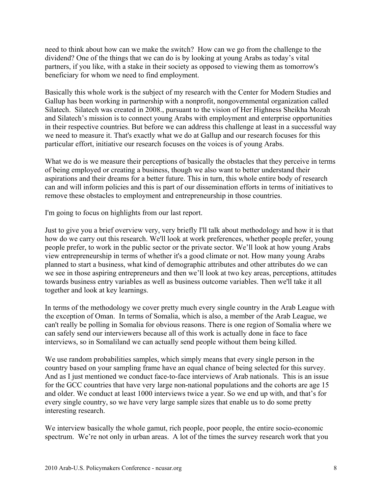need to think about how can we make the switch? How can we go from the challenge to the dividend? One of the things that we can do is by looking at young Arabs as today's vital partners, if you like, with a stake in their society as opposed to viewing them as tomorrow's beneficiary for whom we need to find employment.

Basically this whole work is the subject of my research with the Center for Modern Studies and Gallup has been working in partnership with a nonprofit, nongovernmental organization called Silatech. Silatech was created in 2008., pursuant to the vision of Her Highness Sheikha Mozah and Silatech's mission is to connect young Arabs with employment and enterprise opportunities in their respective countries. But before we can address this challenge at least in a successful way we need to measure it. That's exactly what we do at Gallup and our research focuses for this particular effort, initiative our research focuses on the voices is of young Arabs.

What we do is we measure their perceptions of basically the obstacles that they perceive in terms of being employed or creating a business, though we also want to better understand their aspirations and their dreams for a better future. This in turn, this whole entire body of research can and will inform policies and this is part of our dissemination efforts in terms of initiatives to remove these obstacles to employment and entrepreneurship in those countries.

I'm going to focus on highlights from our last report.

Just to give you a brief overview very, very briefly I'll talk about methodology and how it is that how do we carry out this research. We'll look at work preferences, whether people prefer, young people prefer, to work in the public sector or the private sector. We'll look at how young Arabs view entrepreneurship in terms of whether it's a good climate or not. How many young Arabs planned to start a business, what kind of demographic attributes and other attributes do we can we see in those aspiring entrepreneurs and then we'll look at two key areas, perceptions, attitudes towards business entry variables as well as business outcome variables. Then we'll take it all together and look at key learnings.

In terms of the methodology we cover pretty much every single country in the Arab League with the exception of Oman. In terms of Somalia, which is also, a member of the Arab League, we can't really be polling in Somalia for obvious reasons. There is one region of Somalia where we can safely send our interviewers because all of this work is actually done in face to face interviews, so in Somaliland we can actually send people without them being killed.

We use random probabilities samples, which simply means that every single person in the country based on your sampling frame have an equal chance of being selected for this survey. And as I just mentioned we conduct face-to-face interviews of Arab nationals. This is an issue for the GCC countries that have very large non-national populations and the cohorts are age 15 and older. We conduct at least 1000 interviews twice a year. So we end up with, and that's for every single country, so we have very large sample sizes that enable us to do some pretty interesting research.

We interview basically the whole gamut, rich people, poor people, the entire socio-economic spectrum. We're not only in urban areas. A lot of the times the survey research work that you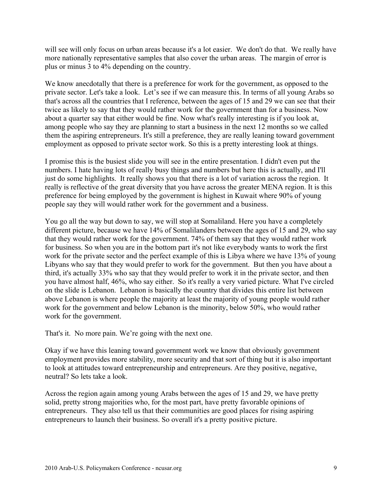will see will only focus on urban areas because it's a lot easier. We don't do that. We really have more nationally representative samples that also cover the urban areas. The margin of error is plus or minus 3 to 4% depending on the country.

We know anecdotally that there is a preference for work for the government, as opposed to the private sector. Let's take a look. Let's see if we can measure this. In terms of all young Arabs so that's across all the countries that I reference, between the ages of 15 and 29 we can see that their twice as likely to say that they would rather work for the government than for a business. Now about a quarter say that either would be fine. Now what's really interesting is if you look at, among people who say they are planning to start a business in the next 12 months so we called them the aspiring entrepreneurs. It's still a preference, they are really leaning toward government employment as opposed to private sector work. So this is a pretty interesting look at things.

I promise this is the busiest slide you will see in the entire presentation. I didn't even put the numbers. I hate having lots of really busy things and numbers but here this is actually, and I'll just do some highlights. It really shows you that there is a lot of variation across the region. It really is reflective of the great diversity that you have across the greater MENA region. It is this preference for being employed by the government is highest in Kuwait where 90% of young people say they will would rather work for the government and a business.

You go all the way but down to say, we will stop at Somaliland. Here you have a completely different picture, because we have 14% of Somalilanders between the ages of 15 and 29, who say that they would rather work for the government. 74% of them say that they would rather work for business. So when you are in the bottom part it's not like everybody wants to work the first work for the private sector and the perfect example of this is Libya where we have 13% of young Libyans who say that they would prefer to work for the government. But then you have about a third, it's actually 33% who say that they would prefer to work it in the private sector, and then you have almost half, 46%, who say either. So it's really a very varied picture. What I've circled on the slide is Lebanon. Lebanon is basically the country that divides this entire list between above Lebanon is where people the majority at least the majority of young people would rather work for the government and below Lebanon is the minority, below 50%, who would rather work for the government.

That's it. No more pain. We're going with the next one.

Okay if we have this leaning toward government work we know that obviously government employment provides more stability, more security and that sort of thing but it is also important to look at attitudes toward entrepreneurship and entrepreneurs. Are they positive, negative, neutral? So lets take a look.

Across the region again among young Arabs between the ages of 15 and 29, we have pretty solid, pretty strong majorities who, for the most part, have pretty favorable opinions of entrepreneurs. They also tell us that their communities are good places for rising aspiring entrepreneurs to launch their business. So overall it's a pretty positive picture.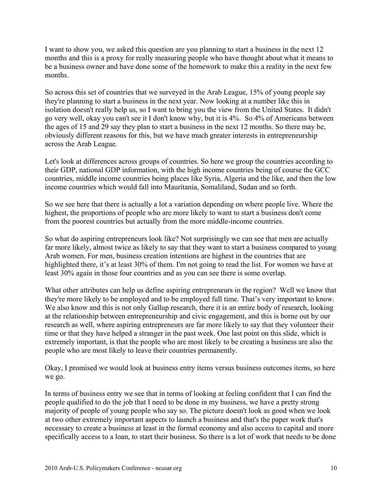I want to show you, we asked this question are you planning to start a business in the next 12 months and this is a proxy for really measuring people who have thought about what it means to be a business owner and have done some of the homework to make this a reality in the next few months.

So across this set of countries that we surveyed in the Arab League, 15% of young people say they're planning to start a business in the next year. Now looking at a number like this in isolation doesn't really help us, so I want to bring you the view from the United States. It didn't go very well, okay you can't see it I don't know why, but it is 4%. So 4% of Americans between the ages of 15 and 29 say they plan to start a business in the next 12 months. So there may be, obviously different reasons for this, but we have much greater interests in entrepreneurship across the Arab League.

Let's look at differences across groups of countries. So here we group the countries according to their GDP, national GDP information, with the high income countries being of course the GCC countries, middle income countries being places like Syria, Algeria and the like, and then the low income countries which would fall into Mauritania, Somaliland, Sudan and so forth.

So we see here that there is actually a lot a variation depending on where people live. Where the highest, the proportions of people who are more likely to want to start a business don't come from the poorest countries but actually from the more middle-income countries.

So what do aspiring entrepreneurs look like? Not surprisingly we can see that men are actually far more likely, almost twice as likely to say that they want to start a business compared to young Arab women. For men, business creation intentions are highest in the countries that are highlighted there, it's at least 30% of them. I'm not going to read the list. For women we have at least 30% again in those four countries and as you can see there is some overlap.

What other attributes can help us define aspiring entrepreneurs in the region? Well we know that they're more likely to be employed and to be employed full time. That's very important to know. We also know and this is not only Gallup research, there it is an entire body of research, looking at the relationship between entrepreneurship and civic engagement, and this is borne out by our research as well, where aspiring entrepreneurs are far more likely to say that they volunteer their time or that they have helped a stranger in the past week. One last point on this slide, which is extremely important, is that the people who are most likely to be creating a business are also the people who are most likely to leave their countries permanently.

Okay, I promised we would look at business entry items versus business outcomes items, so here we go.

In terms of business entry we see that in terms of looking at feeling confident that I can find the people qualified to do the job that I need to be done in my business, we have a pretty strong majority of people of young people who say so. The picture doesn't look as good when we look at two other extremely important aspects to launch a business and that's the paper work that's necessary to create a business at least in the formal economy and also access to capital and more specifically access to a loan, to start their business. So there is a lot of work that needs to be done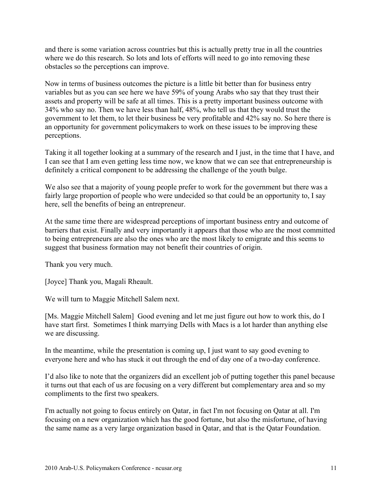and there is some variation across countries but this is actually pretty true in all the countries where we do this research. So lots and lots of efforts will need to go into removing these obstacles so the perceptions can improve.

Now in terms of business outcomes the picture is a little bit better than for business entry variables but as you can see here we have 59% of young Arabs who say that they trust their assets and property will be safe at all times. This is a pretty important business outcome with 34% who say no. Then we have less than half, 48%, who tell us that they would trust the government to let them, to let their business be very profitable and 42% say no. So here there is an opportunity for government policymakers to work on these issues to be improving these perceptions.

Taking it all together looking at a summary of the research and I just, in the time that I have, and I can see that I am even getting less time now, we know that we can see that entrepreneurship is definitely a critical component to be addressing the challenge of the youth bulge.

We also see that a majority of young people prefer to work for the government but there was a fairly large proportion of people who were undecided so that could be an opportunity to, I say here, sell the benefits of being an entrepreneur.

At the same time there are widespread perceptions of important business entry and outcome of barriers that exist. Finally and very importantly it appears that those who are the most committed to being entrepreneurs are also the ones who are the most likely to emigrate and this seems to suggest that business formation may not benefit their countries of origin.

Thank you very much.

[Joyce] Thank you, Magali Rheault.

We will turn to Maggie Mitchell Salem next.

[Ms. Maggie Mitchell Salem] Good evening and let me just figure out how to work this, do I have start first. Sometimes I think marrying Dells with Macs is a lot harder than anything else we are discussing.

In the meantime, while the presentation is coming up, I just want to say good evening to everyone here and who has stuck it out through the end of day one of a two-day conference.

I'd also like to note that the organizers did an excellent job of putting together this panel because it turns out that each of us are focusing on a very different but complementary area and so my compliments to the first two speakers.

I'm actually not going to focus entirely on Qatar, in fact I'm not focusing on Qatar at all. I'm focusing on a new organization which has the good fortune, but also the misfortune, of having the same name as a very large organization based in Qatar, and that is the Qatar Foundation.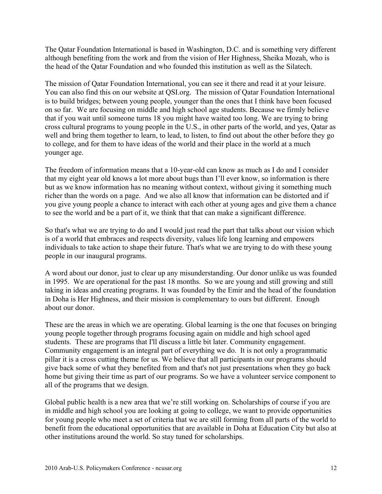The Qatar Foundation International is based in Washington, D.C. and is something very different although benefiting from the work and from the vision of Her Highness, Sheika Mozah, who is the head of the Qatar Foundation and who founded this institution as well as the Silatech.

The mission of Qatar Foundation International, you can see it there and read it at your leisure. You can also find this on our website at QSI.org. The mission of Qatar Foundation International is to build bridges; between young people, younger than the ones that I think have been focused on so far. We are focusing on middle and high school age students. Because we firmly believe that if you wait until someone turns 18 you might have waited too long. We are trying to bring cross cultural programs to young people in the U.S., in other parts of the world, and yes, Qatar as well and bring them together to learn, to lead, to listen, to find out about the other before they go to college, and for them to have ideas of the world and their place in the world at a much younger age.

The freedom of information means that a 10-year-old can know as much as I do and I consider that my eight year old knows a lot more about bugs than I'll ever know, so information is there but as we know information has no meaning without context, without giving it something much richer than the words on a page. And we also all know that information can be distorted and if you give young people a chance to interact with each other at young ages and give them a chance to see the world and be a part of it, we think that that can make a significant difference.

So that's what we are trying to do and I would just read the part that talks about our vision which is of a world that embraces and respects diversity, values life long learning and empowers individuals to take action to shape their future. That's what we are trying to do with these young people in our inaugural programs.

A word about our donor, just to clear up any misunderstanding. Our donor unlike us was founded in 1995. We are operational for the past 18 months. So we are young and still growing and still taking in ideas and creating programs. It was founded by the Emir and the head of the foundation in Doha is Her Highness, and their mission is complementary to ours but different. Enough about our donor.

These are the areas in which we are operating. Global learning is the one that focuses on bringing young people together through programs focusing again on middle and high school aged students. These are programs that I'll discuss a little bit later. Community engagement. Community engagement is an integral part of everything we do. It is not only a programmatic pillar it is a cross cutting theme for us. We believe that all participants in our programs should give back some of what they benefited from and that's not just presentations when they go back home but giving their time as part of our programs. So we have a volunteer service component to all of the programs that we design.

Global public health is a new area that we're still working on. Scholarships of course if you are in middle and high school you are looking at going to college, we want to provide opportunities for young people who meet a set of criteria that we are still forming from all parts of the world to benefit from the educational opportunities that are available in Doha at Education City but also at other institutions around the world. So stay tuned for scholarships.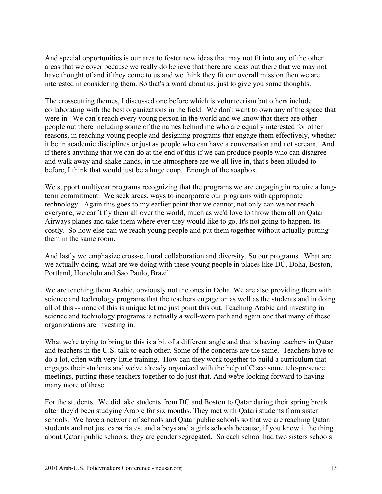And special opportunities is our area to foster new ideas that may not fit into any of the other areas that we cover because we really do believe that there are ideas out there that we may not have thought of and if they come to us and we think they fit our overall mission then we are interested in considering them. So that's a word about us, just to give you some thoughts.

The crosscutting themes, I discussed one before which is volunteerism but others include collaborating with the best organizations in the field. We don't want to own any of the space that were in. We can't reach every young person in the world and we know that there are other people out there including some of the names behind me who are equally interested for other reasons, in reaching young people and designing programs that engage them effectively, whether it be in academic disciplines or just as people who can have a conversation and not scream. And if there's anything that we can do at the end of this if we can produce people who can disagree and walk away and shake hands, in the atmosphere are we all live in, that's been alluded to before, I think that would just be a huge coup. Enough of the soapbox.

We support multiyear programs recognizing that the programs we are engaging in require a longterm commitment. We seek areas, ways to incorporate our programs with appropriate technology. Again this goes to my earlier point that we cannot, not only can we not reach everyone, we can't fly them all over the world, much as we'd love to throw them all on Qatar Airways planes and take them where ever they would like to go. It's not going to happen. Its costly. So how else can we reach young people and put them together without actually putting them in the same room.

And lastly we emphasize cross-cultural collaboration and diversity. So our programs. What are we actually doing, what are we doing with these young people in places like DC, Doha, Boston, Portland, Honolulu and Sao Paulo, Brazil.

We are teaching them Arabic, obviously not the ones in Doha. We are also providing them with science and technology programs that the teachers engage on as well as the students and in doing all of this -- none of this is unique let me just point this out. Teaching Arabic and investing in science and technology programs is actually a well-worn path and again one that many of these organizations are investing in.

What we're trying to bring to this is a bit of a different angle and that is having teachers in Qatar and teachers in the U.S. talk to each other. Some of the concerns are the same. Teachers have to do a lot, often with very little training. How can they work together to build a curriculum that engages their students and we've already organized with the help of Cisco some tele-presence meetings, putting these teachers together to do just that. And we're looking forward to having many more of these.

For the students. We did take students from DC and Boston to Qatar during their spring break after they'd been studying Arabic for six months. They met with Qatari students from sister schools. We have a network of schools and Qatar public schools so that we are reaching Qatari students and not just expatriates, and a boys and a girls schools because, if you know it the thing about Qatari public schools, they are gender segregated. So each school had two sisters schools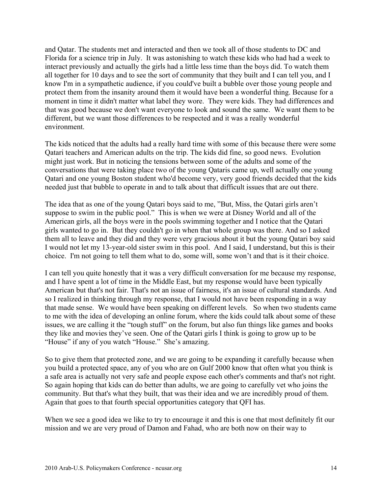and Qatar. The students met and interacted and then we took all of those students to DC and Florida for a science trip in July. It was astonishing to watch these kids who had had a week to interact previously and actually the girls had a little less time than the boys did. To watch them all together for 10 days and to see the sort of community that they built and I can tell you, and I know I'm in a sympathetic audience, if you could've built a bubble over those young people and protect them from the insanity around them it would have been a wonderful thing. Because for a moment in time it didn't matter what label they wore. They were kids. They had differences and that was good because we don't want everyone to look and sound the same. We want them to be different, but we want those differences to be respected and it was a really wonderful environment.

The kids noticed that the adults had a really hard time with some of this because there were some Qatari teachers and American adults on the trip. The kids did fine, so good news. Evolution might just work. But in noticing the tensions between some of the adults and some of the conversations that were taking place two of the young Qataris came up, well actually one young Qatari and one young Boston student who'd become very, very good friends decided that the kids needed just that bubble to operate in and to talk about that difficult issues that are out there.

The idea that as one of the young Qatari boys said to me, "But, Miss, the Qatari girls aren't suppose to swim in the public pool." This is when we were at Disney World and all of the American girls, all the boys were in the pools swimming together and I notice that the Qatari girls wanted to go in. But they couldn't go in when that whole group was there. And so I asked them all to leave and they did and they were very gracious about it but the young Qatari boy said I would not let my 13-year-old sister swim in this pool. And I said, I understand, but this is their choice. I'm not going to tell them what to do, some will, some won't and that is it their choice.

I can tell you quite honestly that it was a very difficult conversation for me because my response, and I have spent a lot of time in the Middle East, but my response would have been typically American but that's not fair. That's not an issue of fairness, it's an issue of cultural standards. And so I realized in thinking through my response, that I would not have been responding in a way that made sense. We would have been speaking on different levels. So when two students came to me with the idea of developing an online forum, where the kids could talk about some of these issues, we are calling it the "tough stuff" on the forum, but also fun things like games and books they like and movies they've seen. One of the Qatari girls I think is going to grow up to be "House" if any of you watch "House." She's amazing.

So to give them that protected zone, and we are going to be expanding it carefully because when you build a protected space, any of you who are on Gulf 2000 know that often what you think is a safe area is actually not very safe and people expose each other's comments and that's not right. So again hoping that kids can do better than adults, we are going to carefully vet who joins the community. But that's what they built, that was their idea and we are incredibly proud of them. Again that goes to that fourth special opportunities category that QFI has.

When we see a good idea we like to try to encourage it and this is one that most definitely fit our mission and we are very proud of Damon and Fahad, who are both now on their way to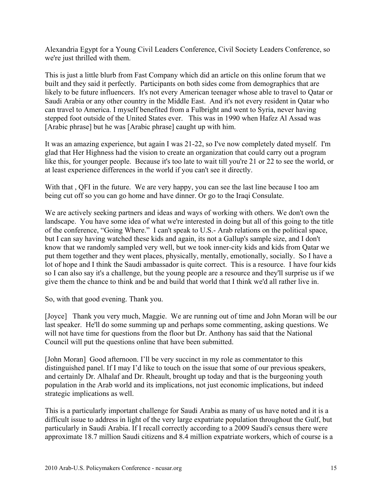Alexandria Egypt for a Young Civil Leaders Conference, Civil Society Leaders Conference, so we're just thrilled with them.

This is just a little blurb from Fast Company which did an article on this online forum that we built and they said it perfectly. Participants on both sides come from demographics that are likely to be future influencers. It's not every American teenager whose able to travel to Qatar or Saudi Arabia or any other country in the Middle East. And it's not every resident in Qatar who can travel to America. I myself benefited from a Fulbright and went to Syria, never having stepped foot outside of the United States ever. This was in 1990 when Hafez Al Assad was [Arabic phrase] but he was [Arabic phrase] caught up with him.

It was an amazing experience, but again I was 21-22, so I've now completely dated myself. I'm glad that Her Highness had the vision to create an organization that could carry out a program like this, for younger people. Because it's too late to wait till you're 21 or 22 to see the world, or at least experience differences in the world if you can't see it directly.

With that , QFI in the future. We are very happy, you can see the last line because I too am being cut off so you can go home and have dinner. Or go to the Iraqi Consulate.

We are actively seeking partners and ideas and ways of working with others. We don't own the landscape. You have some idea of what we're interested in doing but all of this going to the title of the conference, "Going Where." I can't speak to U.S.- Arab relations on the political space, but I can say having watched these kids and again, its not a Gallup's sample size, and I don't know that we randomly sampled very well, but we took inner-city kids and kids from Qatar we put them together and they went places, physically, mentally, emotionally, socially. So I have a lot of hope and I think the Saudi ambassador is quite correct. This is a resource. I have four kids so I can also say it's a challenge, but the young people are a resource and they'll surprise us if we give them the chance to think and be and build that world that I think we'd all rather live in.

So, with that good evening. Thank you.

[Joyce] Thank you very much, Maggie. We are running out of time and John Moran will be our last speaker. He'll do some summing up and perhaps some commenting, asking questions. We will not have time for questions from the floor but Dr. Anthony has said that the National Council will put the questions online that have been submitted.

[John Moran] Good afternoon. I'll be very succinct in my role as commentator to this distinguished panel. If I may I'd like to touch on the issue that some of our previous speakers, and certainly Dr. Alhalaf and Dr. Rheault, brought up today and that is the burgeoning youth population in the Arab world and its implications, not just economic implications, but indeed strategic implications as well.

This is a particularly important challenge for Saudi Arabia as many of us have noted and it is a difficult issue to address in light of the very large expatriate population throughout the Gulf, but particularly in Saudi Arabia. If I recall correctly according to a 2009 Saudi's census there were approximate 18.7 million Saudi citizens and 8.4 million expatriate workers, which of course is a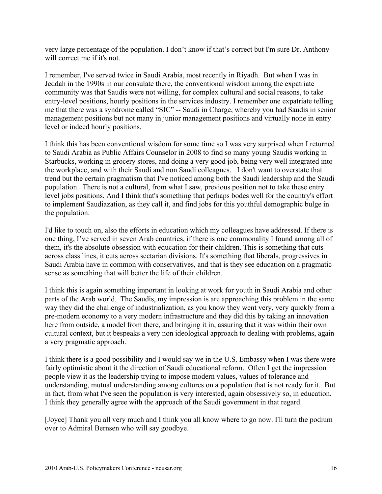very large percentage of the population. I don't know if that's correct but I'm sure Dr. Anthony will correct me if it's not.

I remember, I've served twice in Saudi Arabia, most recently in Riyadh. But when I was in Jeddah in the 1990s in our consulate there, the conventional wisdom among the expatriate community was that Saudis were not willing, for complex cultural and social reasons, to take entry-level positions, hourly positions in the services industry. I remember one expatriate telling me that there was a syndrome called "SIC" -- Saudi in Charge, whereby you had Saudis in senior management positions but not many in junior management positions and virtually none in entry level or indeed hourly positions.

I think this has been conventional wisdom for some time so I was very surprised when I returned to Saudi Arabia as Public Affairs Counselor in 2008 to find so many young Saudis working in Starbucks, working in grocery stores, and doing a very good job, being very well integrated into the workplace, and with their Saudi and non Saudi colleagues. I don't want to overstate that trend but the certain pragmatism that I've noticed among both the Saudi leadership and the Saudi population. There is not a cultural, from what I saw, previous position not to take these entry level jobs positions. And I think that's something that perhaps bodes well for the country's effort to implement Saudiazation, as they call it, and find jobs for this youthful demographic bulge in the population.

I'd like to touch on, also the efforts in education which my colleagues have addressed. If there is one thing, I've served in seven Arab countries, if there is one commonality I found among all of them, it's the absolute obsession with education for their children. This is something that cuts across class lines, it cuts across sectarian divisions. It's something that liberals, progressives in Saudi Arabia have in common with conservatives, and that is they see education on a pragmatic sense as something that will better the life of their children.

I think this is again something important in looking at work for youth in Saudi Arabia and other parts of the Arab world. The Saudis, my impression is are approaching this problem in the same way they did the challenge of industrialization, as you know they went very, very quickly from a pre-modern economy to a very modern infrastructure and they did this by taking an innovation here from outside, a model from there, and bringing it in, assuring that it was within their own cultural context, but it bespeaks a very non ideological approach to dealing with problems, again a very pragmatic approach.

I think there is a good possibility and I would say we in the U.S. Embassy when I was there were fairly optimistic about it the direction of Saudi educational reform. Often I get the impression people view it as the leadership trying to impose modern values, values of tolerance and understanding, mutual understanding among cultures on a population that is not ready for it. But in fact, from what I've seen the population is very interested, again obsessively so, in education. I think they generally agree with the approach of the Saudi government in that regard.

[Joyce] Thank you all very much and I think you all know where to go now. I'll turn the podium over to Admiral Bernsen who will say goodbye.